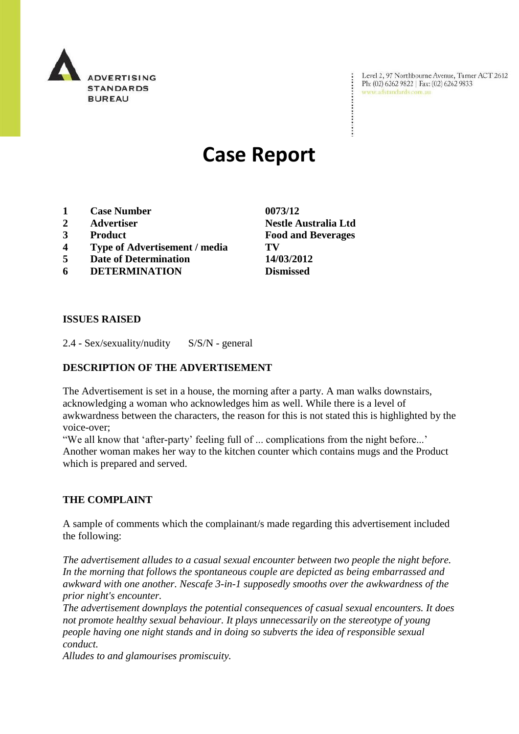

Level 2, 97 Northbourne Avenue, Turner ACT 2612 Ph: (02) 6262 9822 | Fax: (02) 6262 9833 www.adstandards.com.au

# **Case Report**

- **1 Case Number 0073/12**
- 
- 
- **4 Type of Advertisement / media TV**
- **5 Date of Determination 14/03/2012**
- **6 DETERMINATION Dismissed**

**2 Advertiser Nestle Australia Ltd 3 Product Food and Beverages**

 $\ddot{\cdot}$ 

#### **ISSUES RAISED**

2.4 - Sex/sexuality/nudity S/S/N - general

#### **DESCRIPTION OF THE ADVERTISEMENT**

The Advertisement is set in a house, the morning after a party. A man walks downstairs, acknowledging a woman who acknowledges him as well. While there is a level of awkwardness between the characters, the reason for this is not stated this is highlighted by the voice-over;

"We all know that 'after-party' feeling full of ... complications from the night before..." Another woman makes her way to the kitchen counter which contains mugs and the Product which is prepared and served.

#### **THE COMPLAINT**

A sample of comments which the complainant/s made regarding this advertisement included the following:

*The advertisement alludes to a casual sexual encounter between two people the night before. In the morning that follows the spontaneous couple are depicted as being embarrassed and awkward with one another. Nescafe 3-in-1 supposedly smooths over the awkwardness of the prior night's encounter.*

*The advertisement downplays the potential consequences of casual sexual encounters. It does not promote healthy sexual behaviour. It plays unnecessarily on the stereotype of young people having one night stands and in doing so subverts the idea of responsible sexual conduct.*

*Alludes to and glamourises promiscuity.*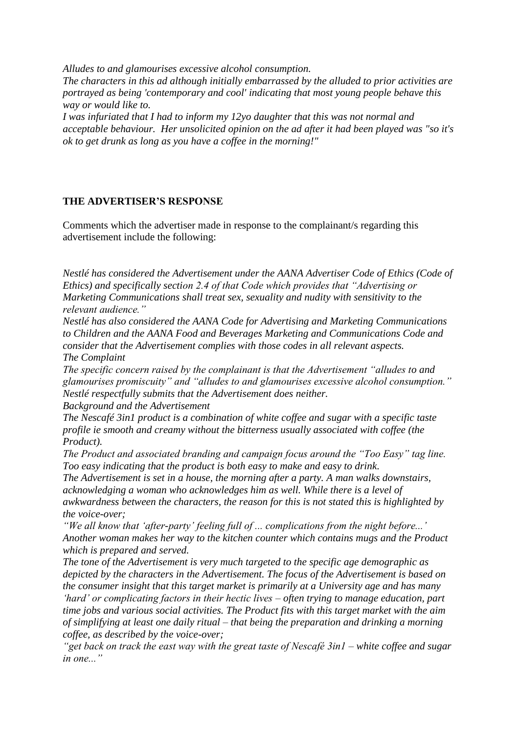*Alludes to and glamourises excessive alcohol consumption.*

*The characters in this ad although initially embarrassed by the alluded to prior activities are portrayed as being 'contemporary and cool' indicating that most young people behave this way or would like to.* 

*I was infuriated that I had to inform my 12yo daughter that this was not normal and acceptable behaviour. Her unsolicited opinion on the ad after it had been played was "so it's ok to get drunk as long as you have a coffee in the morning!"*

### **THE ADVERTISER'S RESPONSE**

Comments which the advertiser made in response to the complainant/s regarding this advertisement include the following:

*Nestlé has considered the Advertisement under the AANA Advertiser Code of Ethics (Code of Ethics) and specifically section 2.4 of that Code which provides that "Advertising or Marketing Communications shall treat sex, sexuality and nudity with sensitivity to the relevant audience."*

*Nestlé has also considered the AANA Code for Advertising and Marketing Communications to Children and the AANA Food and Beverages Marketing and Communications Code and consider that the Advertisement complies with those codes in all relevant aspects. The Complaint*

*The specific concern raised by the complainant is that the Advertisement "alludes to and glamourises promiscuity" and "alludes to and glamourises excessive alcohol consumption." Nestlé respectfully submits that the Advertisement does neither.*

*Background and the Advertisement*

*The Nescafé 3in1 product is a combination of white coffee and sugar with a specific taste profile ie smooth and creamy without the bitterness usually associated with coffee (the Product).* 

*The Product and associated branding and campaign focus around the "Too Easy" tag line. Too easy indicating that the product is both easy to make and easy to drink.* 

*The Advertisement is set in a house, the morning after a party. A man walks downstairs, acknowledging a woman who acknowledges him as well. While there is a level of awkwardness between the characters, the reason for this is not stated this is highlighted by the voice-over;*

*"We all know that "after-party" feeling full of ... complications from the night before..." Another woman makes her way to the kitchen counter which contains mugs and the Product which is prepared and served.* 

*The tone of the Advertisement is very much targeted to the specific age demographic as depicted by the characters in the Advertisement. The focus of the Advertisement is based on the consumer insight that this target market is primarily at a University age and has many "hard" or complicating factors in their hectic lives – often trying to manage education, part time jobs and various social activities. The Product fits with this target market with the aim of simplifying at least one daily ritual – that being the preparation and drinking a morning coffee, as described by the voice-over;*

*"get back on track the east way with the great taste of Nescafé 3in1 – white coffee and sugar in one..."*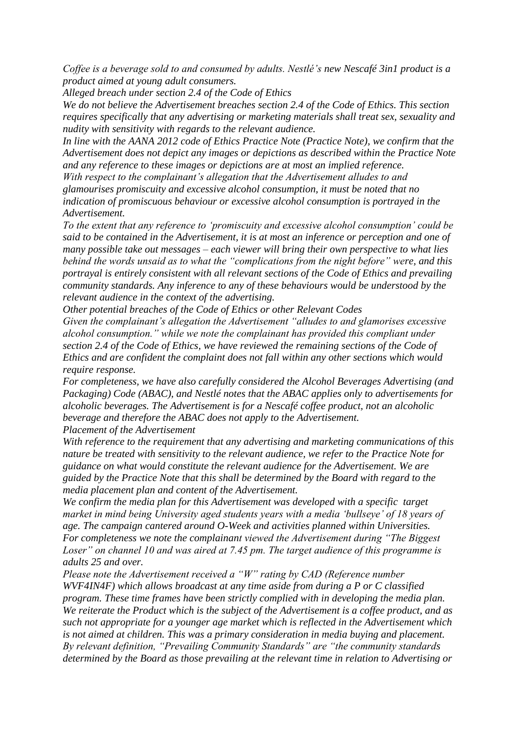*Coffee is a beverage sold to and consumed by adults. Nestlé"s new Nescafé 3in1 product is a product aimed at young adult consumers.*

*Alleged breach under section 2.4 of the Code of Ethics* 

*We do not believe the Advertisement breaches section 2.4 of the Code of Ethics. This section requires specifically that any advertising or marketing materials shall treat sex, sexuality and nudity with sensitivity with regards to the relevant audience.* 

*In line with the AANA 2012 code of Ethics Practice Note (Practice Note), we confirm that the Advertisement does not depict any images or depictions as described within the Practice Note and any reference to these images or depictions are at most an implied reference.* 

*With respect to the complainant"s allegation that the Advertisement alludes to and glamourises promiscuity and excessive alcohol consumption, it must be noted that no indication of promiscuous behaviour or excessive alcohol consumption is portrayed in the Advertisement.* 

*To the extent that any reference to "promiscuity and excessive alcohol consumption" could be said to be contained in the Advertisement, it is at most an inference or perception and one of many possible take out messages – each viewer will bring their own perspective to what lies behind the words unsaid as to what the "complications from the night before" were, and this portrayal is entirely consistent with all relevant sections of the Code of Ethics and prevailing community standards. Any inference to any of these behaviours would be understood by the relevant audience in the context of the advertising.*

*Other potential breaches of the Code of Ethics or other Relevant Codes*

*Given the complainant"s allegation the Advertisement "alludes to and glamorises excessive alcohol consumption." while we note the complainant has provided this compliant under section 2.4 of the Code of Ethics, we have reviewed the remaining sections of the Code of Ethics and are confident the complaint does not fall within any other sections which would require response.* 

*For completeness, we have also carefully considered the Alcohol Beverages Advertising (and Packaging) Code (ABAC), and Nestlé notes that the ABAC applies only to advertisements for alcoholic beverages. The Advertisement is for a Nescafé coffee product, not an alcoholic beverage and therefore the ABAC does not apply to the Advertisement.*

*Placement of the Advertisement*

*With reference to the requirement that any advertising and marketing communications of this nature be treated with sensitivity to the relevant audience, we refer to the Practice Note for guidance on what would constitute the relevant audience for the Advertisement. We are guided by the Practice Note that this shall be determined by the Board with regard to the media placement plan and content of the Advertisement.* 

*We confirm the media plan for this Advertisement was developed with a specific target market in mind being University aged students years with a media "bullseye" of 18 years of age. The campaign cantered around O-Week and activities planned within Universities. For completeness we note the complainant viewed the Advertisement during "The Biggest Loser" on channel 10 and was aired at 7.45 pm. The target audience of this programme is adults 25 and over.*

*Please note the Advertisement received a "W" rating by CAD (Reference number WVF4IN4F) which allows broadcast at any time aside from during a P or C classified program. These time frames have been strictly complied with in developing the media plan. We reiterate the Product which is the subject of the Advertisement is a coffee product, and as such not appropriate for a younger age market which is reflected in the Advertisement which is not aimed at children. This was a primary consideration in media buying and placement. By relevant definition, "Prevailing Community Standards" are "the community standards determined by the Board as those prevailing at the relevant time in relation to Advertising or*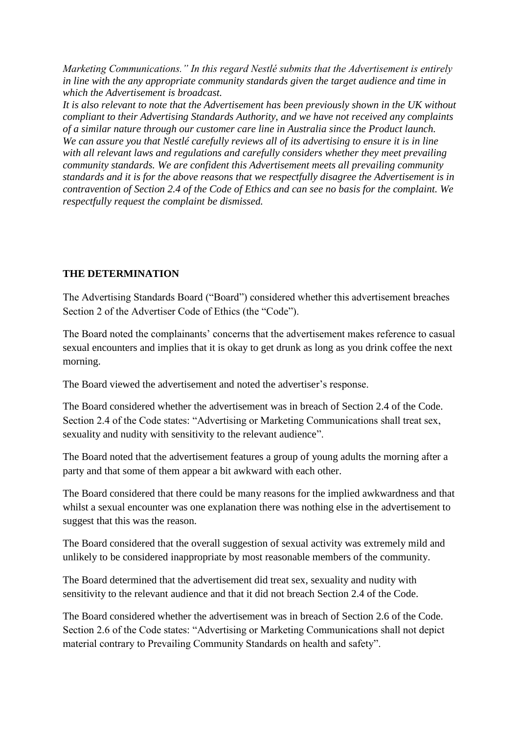*Marketing Communications." In this regard Nestlé submits that the Advertisement is entirely in line with the any appropriate community standards given the target audience and time in which the Advertisement is broadcast.*

*It is also relevant to note that the Advertisement has been previously shown in the UK without compliant to their Advertising Standards Authority, and we have not received any complaints of a similar nature through our customer care line in Australia since the Product launch. We can assure you that Nestlé carefully reviews all of its advertising to ensure it is in line with all relevant laws and regulations and carefully considers whether they meet prevailing community standards. We are confident this Advertisement meets all prevailing community standards and it is for the above reasons that we respectfully disagree the Advertisement is in contravention of Section 2.4 of the Code of Ethics and can see no basis for the complaint. We respectfully request the complaint be dismissed.*

## **THE DETERMINATION**

The Advertising Standards Board ("Board") considered whether this advertisement breaches Section 2 of the Advertiser Code of Ethics (the "Code").

The Board noted the complainants" concerns that the advertisement makes reference to casual sexual encounters and implies that it is okay to get drunk as long as you drink coffee the next morning.

The Board viewed the advertisement and noted the advertiser"s response.

The Board considered whether the advertisement was in breach of Section 2.4 of the Code. Section 2.4 of the Code states: "Advertising or Marketing Communications shall treat sex, sexuality and nudity with sensitivity to the relevant audience".

The Board noted that the advertisement features a group of young adults the morning after a party and that some of them appear a bit awkward with each other.

The Board considered that there could be many reasons for the implied awkwardness and that whilst a sexual encounter was one explanation there was nothing else in the advertisement to suggest that this was the reason.

The Board considered that the overall suggestion of sexual activity was extremely mild and unlikely to be considered inappropriate by most reasonable members of the community.

The Board determined that the advertisement did treat sex, sexuality and nudity with sensitivity to the relevant audience and that it did not breach Section 2.4 of the Code.

The Board considered whether the advertisement was in breach of Section 2.6 of the Code. Section 2.6 of the Code states: "Advertising or Marketing Communications shall not depict material contrary to Prevailing Community Standards on health and safety".